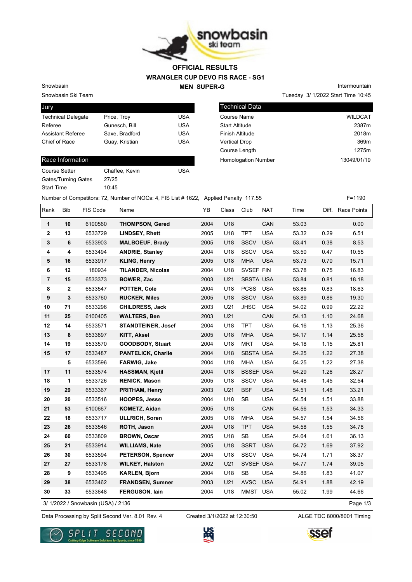

### **WRANGLER CUP DEVO FIS RACE - SG1 MEN SUPER-G OFFICIAL RESULTS**

Snowbasin Ski Team Snowbasin

| Jury                      |                |            |
|---------------------------|----------------|------------|
| <b>Technical Delegate</b> | Price, Troy    | USA        |
| Referee                   | Gunesch, Bill  | <b>USA</b> |
| <b>Assistant Referee</b>  | Saxe, Bradford | USA        |
| Chief of Race             | Guay, Kristian | <b>USA</b> |
|                           |                |            |

#### Race Information

| Course Setter              | Chaffee, Kevin | USA |
|----------------------------|----------------|-----|
| <b>Gates/Turning Gates</b> | 27/25          |     |
| <b>Start Time</b>          | 10.45          |     |

Tuesday 3/ 1/2022 Start Time 10:45 Technical Data Course Name WILDCAT Start Altitude 2387m Finish Altitude 2018m Vertical Drop 369m

Course Length 1275m

Homologation Number 13049/01/19

Intermountain

# Number of Competitors: 72, Number of NOCs: 4, FIS List # 1622, Applied Penalty 117.55 F=1190

| Rank           | Bib          | FIS Code                           | Name                      | YB   | Class | Club             | <b>NAT</b> | Time  |      | Diff. Race Points |
|----------------|--------------|------------------------------------|---------------------------|------|-------|------------------|------------|-------|------|-------------------|
| $\mathbf{1}$   | 10           | 6100560                            | <b>THOMPSON, Gered</b>    | 2004 | U18   |                  | CAN        | 53.03 |      | 0.00              |
| $\mathbf 2$    | 13           | 6533729                            | <b>LINDSEY, Rhett</b>     | 2005 | U18   | <b>TPT</b>       | <b>USA</b> | 53.32 | 0.29 | 6.51              |
| $\mathbf 3$    | 6            | 6533903                            | <b>MALBOEUF, Brady</b>    | 2005 | U18   | <b>SSCV</b>      | <b>USA</b> | 53.41 | 0.38 | 8.53              |
| 4              | 4            | 6533494                            | <b>ANDRIE, Stanley</b>    | 2004 | U18   | SSCV             | <b>USA</b> | 53.50 | 0.47 | 10.55             |
| 5              | 16           | 6533917                            | <b>KLING, Henry</b>       | 2005 | U18   | <b>MHA</b>       | <b>USA</b> | 53.73 | 0.70 | 15.71             |
| 6              | 12           | 180934                             | <b>TILANDER, Nicolas</b>  | 2004 | U18   | SVSEF FIN        |            | 53.78 | 0.75 | 16.83             |
| $\overline{7}$ | 15           | 6533373                            | <b>BOWER, Zac</b>         | 2003 | U21   | <b>SBSTA USA</b> |            | 53.84 | 0.81 | 18.18             |
| 8              | $\mathbf{2}$ | 6533547                            | POTTER, Cole              | 2004 | U18   | <b>PCSS</b>      | <b>USA</b> | 53.86 | 0.83 | 18.63             |
| 9              | 3            | 6533760                            | <b>RUCKER, Miles</b>      | 2005 | U18   | <b>SSCV</b>      | <b>USA</b> | 53.89 | 0.86 | 19.30             |
| 10             | 71           | 6533296                            | <b>CHILDRESS, Jack</b>    | 2003 | U21   | <b>JHSC</b>      | <b>USA</b> | 54.02 | 0.99 | 22.22             |
| 11             | 25           | 6100405                            | <b>WALTERS, Ben</b>       | 2003 | U21   |                  | CAN        | 54.13 | 1.10 | 24.68             |
| 12             | 14           | 6533571                            | <b>STANDTEINER, Josef</b> | 2004 | U18   | <b>TPT</b>       | <b>USA</b> | 54.16 | 1.13 | 25.36             |
| 13             | 8            | 6533897                            | <b>KITT, Aksel</b>        | 2005 | U18   | <b>MHA</b>       | <b>USA</b> | 54.17 | 1.14 | 25.58             |
| 14             | 19           | 6533570                            | <b>GOODBODY, Stuart</b>   | 2004 | U18   | <b>MRT</b>       | <b>USA</b> | 54.18 | 1.15 | 25.81             |
| 15             | 17           | 6533487                            | <b>PANTELICK, Charlie</b> | 2004 | U18   | <b>SBSTA USA</b> |            | 54.25 | 1.22 | 27.38             |
|                | 5            | 6533596                            | FARWIG, Jake              | 2004 | U18   | <b>MHA</b>       | <b>USA</b> | 54.25 | 1.22 | 27.38             |
| 17             | 11           | 6533574                            | <b>HASSMAN, Kjetil</b>    | 2004 | U18   | <b>BSSEF USA</b> |            | 54.29 | 1.26 | 28.27             |
| 18             | 1            | 6533726                            | <b>RENICK, Mason</b>      | 2005 | U18   | SSCV             | <b>USA</b> | 54.48 | 1.45 | 32.54             |
| 19             | 29           | 6533367                            | PRITHAM, Henry            | 2003 | U21   | <b>BSF</b>       | <b>USA</b> | 54.51 | 1.48 | 33.21             |
| 20             | 20           | 6533516                            | <b>HOOPES, Jesse</b>      | 2004 | U18   | SB               | <b>USA</b> | 54.54 | 1.51 | 33.88             |
| 21             | 53           | 6100667                            | KOMETZ, Aidan             | 2005 | U18   |                  | CAN        | 54.56 | 1.53 | 34.33             |
| 22             | 18           | 6533717                            | <b>ULLRICH, Soren</b>     | 2005 | U18   | <b>MHA</b>       | <b>USA</b> | 54.57 | 1.54 | 34.56             |
| 23             | 26           | 6533546                            | ROTH, Jason               | 2004 | U18   | <b>TPT</b>       | <b>USA</b> | 54.58 | 1.55 | 34.78             |
| 24             | 60           | 6533809                            | <b>BROWN, Oscar</b>       | 2005 | U18   | SB               | <b>USA</b> | 54.64 | 1.61 | 36.13             |
| 25             | 21           | 6533914                            | <b>WILLIAMS, Nate</b>     | 2005 | U18   | <b>SSRT</b>      | <b>USA</b> | 54.72 | 1.69 | 37.92             |
| 26             | 30           | 6533594                            | <b>PETERSON, Spencer</b>  | 2004 | U18   | SSCV             | <b>USA</b> | 54.74 | 1.71 | 38.37             |
| 27             | 27           | 6533178                            | <b>WILKEY, Halston</b>    | 2002 | U21   | SVSEF USA        |            | 54.77 | 1.74 | 39.05             |
| 28             | 9            | 6533495                            | <b>KARLEN, Bjorn</b>      | 2004 | U18   | SB               | <b>USA</b> | 54.86 | 1.83 | 41.07             |
| 29             | 38           | 6533462                            | <b>FRANDSEN, Sumner</b>   | 2003 | U21   | <b>AVSC</b>      | <b>USA</b> | 54.91 | 1.88 | 42.19             |
| 30             | 33           | 6533648                            | FERGUSON, lain            | 2004 | U18   | MMST USA         |            | 55.02 | 1.99 | 44.66             |
|                |              | 3/ 1/2022 / Snowbasin (USA) / 2136 |                           |      |       |                  |            |       |      | Page 1/3          |

3/ 1/2022 / Snowbasin (USA) / 2136

Created 3/1/2022 at 12:30:50

Data Processing by Split Second Ver. 8.01 Rev. 4 Created 3/1/2022 at 12:30:50 ALGE TDC 8000/8001 Timing





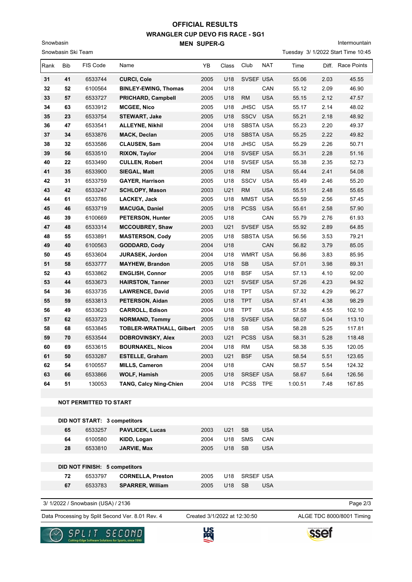# **WRANGLER CUP DEVO FIS RACE - SG1 MEN SUPER-G OFFICIAL RESULTS**

Intermountain

|      | Snowbasin Ski Team |                                     |                                                  |      |                              |                  |            | Tuesday 3/ 1/2022 Start Time 10:45 |       |                           |
|------|--------------------|-------------------------------------|--------------------------------------------------|------|------------------------------|------------------|------------|------------------------------------|-------|---------------------------|
| Rank | Bib                | FIS Code                            | Name                                             | YB   | Class                        | Club             | <b>NAT</b> | Time                               | Diff. | Race Points               |
| 31   | 41                 | 6533744                             | <b>CURCI, Cole</b>                               | 2005 | U18                          | SVSEF USA        |            | 55.06                              | 2.03  | 45.55                     |
| 32   | 52                 | 6100564                             | <b>BINLEY-EWING, Thomas</b>                      | 2004 | U18                          |                  | CAN        | 55.12                              | 2.09  | 46.90                     |
| 33   | 57                 | 6533727                             | <b>PRICHARD, Campbell</b>                        | 2005 | U18                          | <b>RM</b>        | <b>USA</b> | 55.15                              | 2.12  | 47.57                     |
| 34   | 63                 | 6533912                             | <b>MCGEE, Nico</b>                               | 2005 | U18                          | <b>JHSC</b>      | <b>USA</b> | 55.17                              | 2.14  | 48.02                     |
| 35   | 23                 | 6533754                             | <b>STEWART, Jake</b>                             | 2005 | U18                          | <b>SSCV</b>      | <b>USA</b> | 55.21                              | 2.18  | 48.92                     |
| 36   | 47                 | 6533541                             | <b>ALLEYNE, Nikhil</b>                           | 2004 | U18                          | <b>SBSTA USA</b> |            | 55.23                              | 2.20  | 49.37                     |
| 37   | 34                 | 6533876                             | <b>MACK, Declan</b>                              | 2005 | U18                          | <b>SBSTA USA</b> |            | 55.25                              | 2.22  | 49.82                     |
| 38   | 32                 | 6533586                             | <b>CLAUSEN, Sam</b>                              | 2004 | U18                          | <b>JHSC</b>      | <b>USA</b> | 55.29                              | 2.26  | 50.71                     |
| 39   | 56                 | 6533510                             | <b>RIXON, Taylor</b>                             | 2004 | U18                          | SVSEF USA        |            | 55.31                              | 2.28  | 51.16                     |
| 40   | 22                 | 6533490                             | <b>CULLEN, Robert</b>                            | 2004 | U18                          | SVSEF USA        |            | 55.38                              | 2.35  | 52.73                     |
| 41   | 35                 | 6533900                             | SIEGAL, Matt                                     | 2005 | U18                          | <b>RM</b>        | <b>USA</b> | 55.44                              | 2.41  | 54.08                     |
| 42   | 31                 | 6533759                             | <b>GAYER, Harrison</b>                           | 2005 | U18                          | <b>SSCV</b>      | <b>USA</b> | 55.49                              | 2.46  | 55.20                     |
| 43   | 42                 | 6533247                             | <b>SCHLOPY, Mason</b>                            | 2003 | U21                          | <b>RM</b>        | <b>USA</b> | 55.51                              | 2.48  | 55.65                     |
| 44   | 61                 | 6533786                             | LACKEY, Jack                                     | 2005 | U18                          | <b>MMST</b>      | <b>USA</b> | 55.59                              | 2.56  | 57.45                     |
| 45   | 46                 | 6533719                             | <b>MACUGA, Daniel</b>                            | 2005 | U18                          | <b>PCSS</b>      | <b>USA</b> | 55.61                              | 2.58  | 57.90                     |
| 46   | 39                 | 6100669                             | <b>PETERSON, Hunter</b>                          | 2005 | U18                          |                  | CAN        | 55.79                              | 2.76  | 61.93                     |
| 47   | 48                 | 6533314                             | <b>MCCOUBREY, Shaw</b>                           | 2003 | U21                          | SVSEF USA        |            | 55.92                              | 2.89  | 64.85                     |
| 48   | 55                 | 6533891                             | <b>MASTERSON, Cody</b>                           | 2005 | U18                          | SBSTA USA        |            | 56.56                              | 3.53  | 79.21                     |
| 49   | 40                 | 6100563                             | <b>GODDARD, Cody</b>                             | 2004 | U18                          |                  | CAN        | 56.82                              | 3.79  | 85.05                     |
| 50   | 45                 | 6533604                             | <b>JURASEK, Jordon</b>                           | 2004 | U18                          | <b>WMRT</b>      | <b>USA</b> | 56.86                              | 3.83  | 85.95                     |
| 51   | 58                 | 6533777                             | <b>MAYHEW, Brandon</b>                           | 2005 | U18                          | <b>SB</b>        | <b>USA</b> | 57.01                              | 3.98  | 89.31                     |
| 52   | 43                 | 6533862                             | <b>ENGLISH, Connor</b>                           | 2005 | U18                          | <b>BSF</b>       | <b>USA</b> | 57.13                              | 4.10  | 92.00                     |
| 53   | 44                 | 6533673                             | <b>HAIRSTON, Tanner</b>                          | 2003 | U21                          | SVSEF USA        |            | 57.26                              | 4.23  | 94.92                     |
| 54   | 36                 | 6533735                             | <b>LAWRENCE, David</b>                           | 2005 | U18                          | <b>TPT</b>       | <b>USA</b> | 57.32                              | 4.29  | 96.27                     |
| 55   | 59                 | 6533813                             | <b>PETERSON, Aidan</b>                           | 2005 | U18                          | <b>TPT</b>       | <b>USA</b> | 57.41                              | 4.38  | 98.29                     |
| 56   | 49                 | 6533623                             | <b>CARROLL, Edison</b>                           | 2004 | U18                          | <b>TPT</b>       | <b>USA</b> | 57.58                              | 4.55  | 102.10                    |
| 57   | 62                 | 6533723                             | <b>NORMAND, Tommy</b>                            | 2005 | U18                          | SVSEF USA        |            | 58.07                              | 5.04  | 113.10                    |
| 58   | 68                 | 6533845                             | <b>TOBLER-WRATHALL, Gilbert</b>                  | 2005 | U18                          | SB               | <b>USA</b> | 58.28                              | 5.25  | 117.81                    |
| 59   | 70                 | 6533544                             | DOBROVINSKY, Alex                                | 2003 | U21                          | <b>PCSS</b>      | <b>USA</b> | 58.31                              | 5.28  | 118.48                    |
| 60   | 69                 | 6533615                             | <b>BOURNAKEL, Nicos</b>                          | 2004 | U18                          | <b>RM</b>        | <b>USA</b> | 58.38                              | 5.35  | 120.05                    |
| 61   | 50                 | 6533287                             | <b>ESTELLE, Graham</b>                           | 2003 | U21                          | <b>BSF</b>       | <b>USA</b> | 58.54                              | 5.51  | 123.65                    |
| 62   | 54                 | 6100557                             | <b>MILLS, Cameron</b>                            | 2004 | U18                          |                  | CAN        | 58.57                              | 5.54  | 124.32                    |
| 63   | 66                 | 6533866                             | <b>WOLF, Hamish</b>                              | 2005 | U18                          | SRSEF USA        |            | 58.67                              | 5.64  | 126.56                    |
| 64   | 51                 | 130053                              | <b>TANG, Calcy Ning-Chien</b>                    | 2004 | U18                          | PCSS TPE         |            | 1:00.51                            | 7.48  | 167.85                    |
|      |                    |                                     |                                                  |      |                              |                  |            |                                    |       |                           |
|      |                    | <b>NOT PERMITTED TO START</b>       |                                                  |      |                              |                  |            |                                    |       |                           |
|      |                    | <b>DID NOT START: 3 competitors</b> |                                                  |      |                              |                  |            |                                    |       |                           |
|      |                    |                                     |                                                  |      |                              |                  |            |                                    |       |                           |
|      | 65                 | 6533257                             | <b>PAVLICEK, Lucas</b>                           | 2003 | U21                          | SB               | <b>USA</b> |                                    |       |                           |
|      | 64                 | 6100580                             | KIDD, Logan                                      | 2004 | U18                          | <b>SMS</b>       | CAN        |                                    |       |                           |
|      | 28                 | 6533810                             | JARVIE, Max                                      | 2005 | U18                          | <b>SB</b>        | <b>USA</b> |                                    |       |                           |
|      |                    | DID NOT FINISH: 5 competitors       |                                                  |      |                              |                  |            |                                    |       |                           |
|      | 72                 | 6533797                             | <b>CORNELLA, Preston</b>                         | 2005 | U18                          | <b>SRSEF USA</b> |            |                                    |       |                           |
|      | 67                 | 6533783                             | <b>SPARRER, William</b>                          | 2005 | U18                          | <b>SB</b>        | <b>USA</b> |                                    |       |                           |
|      |                    |                                     |                                                  |      |                              |                  |            |                                    |       |                           |
|      |                    | 3/ 1/2022 / Snowbasin (USA) / 2136  |                                                  |      |                              |                  |            |                                    |       | Page 2/3                  |
|      |                    |                                     | Data Processing by Split Second Ver. 8.01 Rev. 4 |      | Created 3/1/2022 at 12:30:50 |                  |            |                                    |       | ALGE TDC 8000/8001 Timing |



Snowbasin